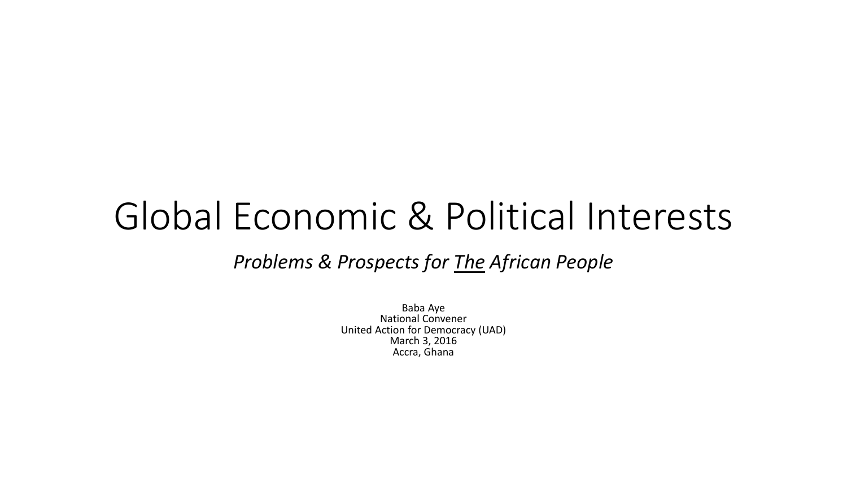### Global Economic & Political Interests

#### *Problems & Prospects for The African People*

Baba Aye National Convener United Action for Democracy (UAD) March 3, 2016 Accra, Ghana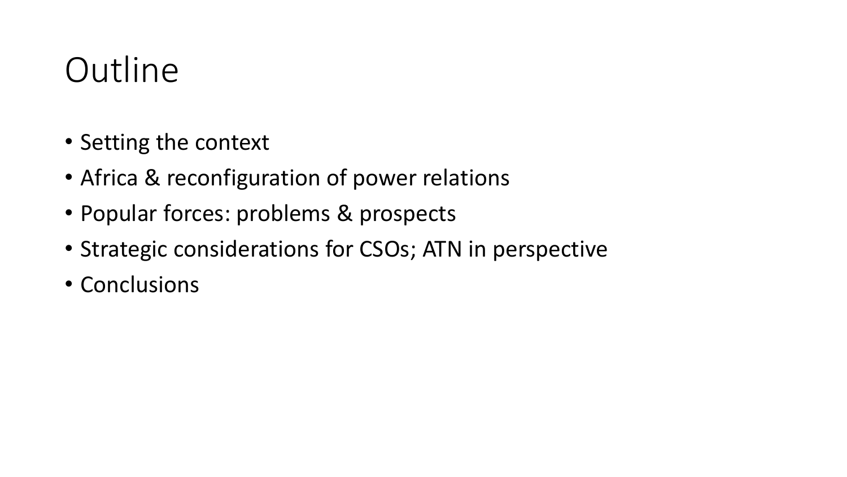### **Outline**

- Setting the context
- Africa & reconfiguration of power relations
- Popular forces: problems & prospects
- Strategic considerations for CSOs; ATN in perspective
- Conclusions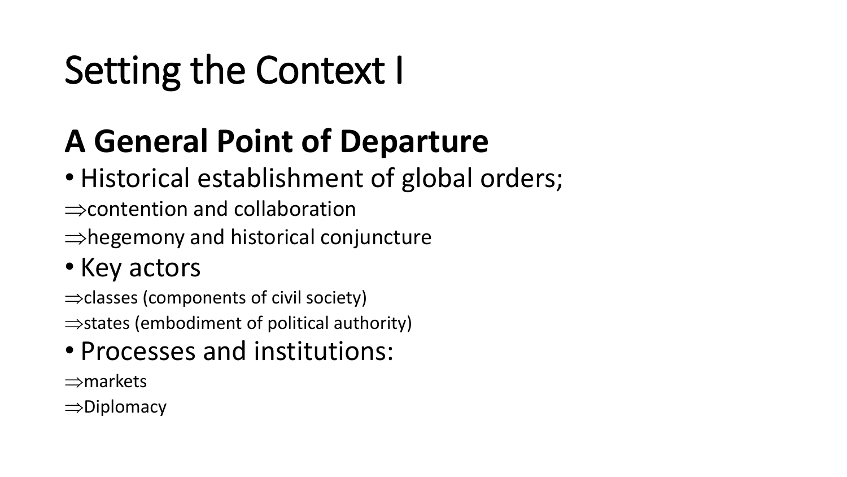# Setting the Context I

### **A General Point of Departure**

- Historical establishment of global orders;
- $\Rightarrow$  contention and collaboration
- $\Rightarrow$  hegemony and historical conjuncture
- Key actors
- $\Rightarrow$  classes (components of civil society)
- $\Rightarrow$  states (embodiment of political authority)
- Processes and institutions:
- $\Rightarrow$ markets
- $\Rightarrow$ Diplomacy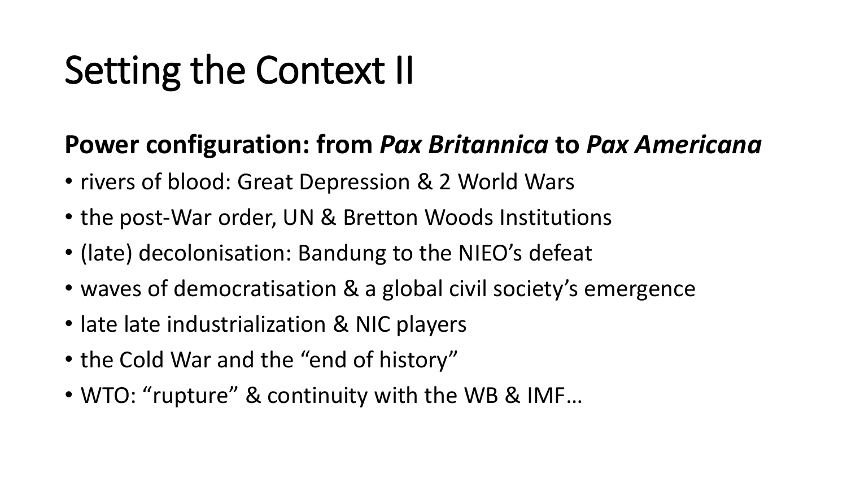# Setting the Context II

### **Power configuration: from** *Pax Britannica* **to** *Pax Americana*

- rivers of blood: Great Depression & 2 World Wars
- the post-War order, UN & Bretton Woods Institutions
- (late) decolonisation: Bandung to the NIEO's defeat
- waves of democratisation & a global civil society's emergence
- late late industrialization & NIC players
- the Cold War and the "end of history"
- WTO: "rupture" & continuity with the WB & IMF…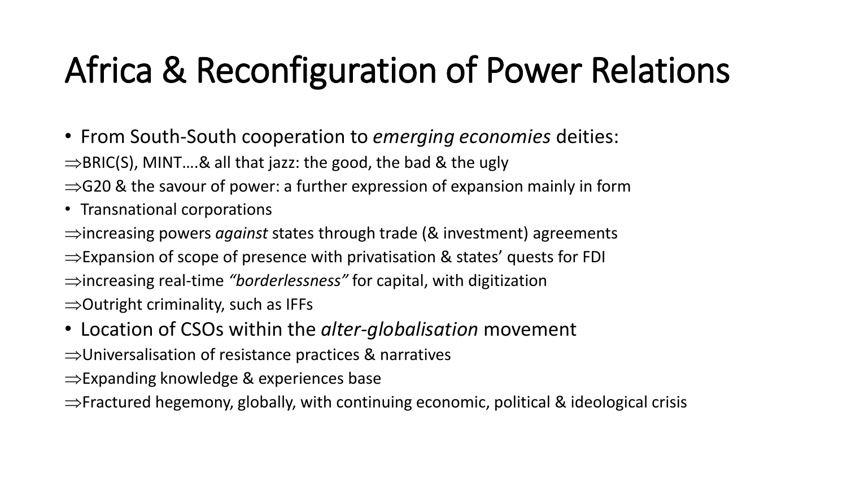# Africa & Reconfiguration of Power Relations

- From South-South cooperation to *emerging economies* deities:
- $\Rightarrow$ BRIC(S), MINT....& all that jazz: the good, the bad & the ugly
- $\Rightarrow$  G20 & the savour of power: a further expression of expansion mainly in form
- Transnational corporations
- $\Rightarrow$  increasing powers *against* states through trade (& investment) agreements
- $\Rightarrow$  Expansion of scope of presence with privatisation & states' quests for FDI
- increasing real-time *"borderlessness"* for capital, with digitization
- $\Rightarrow$  Outright criminality, such as IFFs
- Location of CSOs within the *alter-globalisation* movement
- $\Rightarrow$ Universalisation of resistance practices & narratives
- $\Rightarrow$  Expanding knowledge & experiences base
- $\Rightarrow$  Fractured hegemony, globally, with continuing economic, political & ideological crisis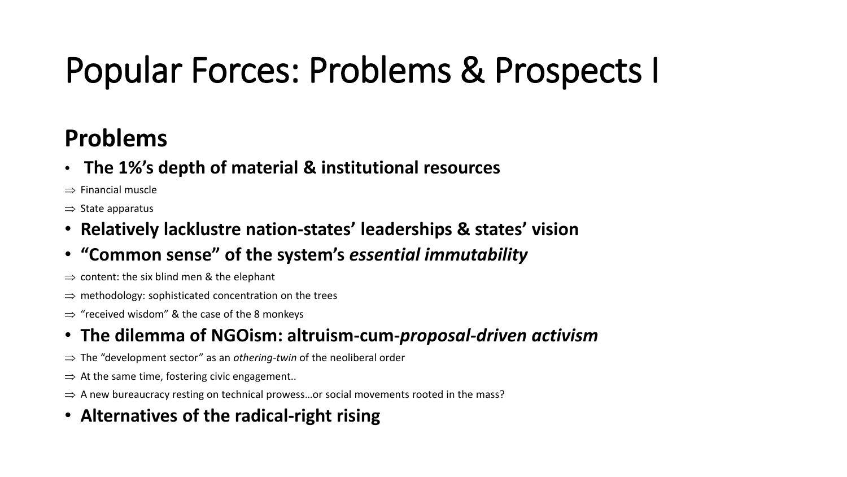# Popular Forces: Problems & Prospects I

### **Problems**

• **The 1%'s depth of material & institutional resources**

 $\Rightarrow$  Financial muscle

 $\Rightarrow$  State apparatus

- **Relatively lacklustre nation-states' leaderships & states' vision**
- **"Common sense" of the system's** *essential immutability*
- $\Rightarrow$  content: the six blind men & the elephant
- $\Rightarrow$  methodology: sophisticated concentration on the trees
- $\Rightarrow$  "received wisdom" & the case of the 8 monkeys

#### • **The dilemma of NGOism: altruism-cum-***proposal-driven activism*

- $\Rightarrow$  The "development sector" as an *othering-twin* of the neoliberal order
- $\Rightarrow$  At the same time, fostering civic engagement..
- $\Rightarrow$  A new bureaucracy resting on technical prowess... or social movements rooted in the mass?

#### • **Alternatives of the radical-right rising**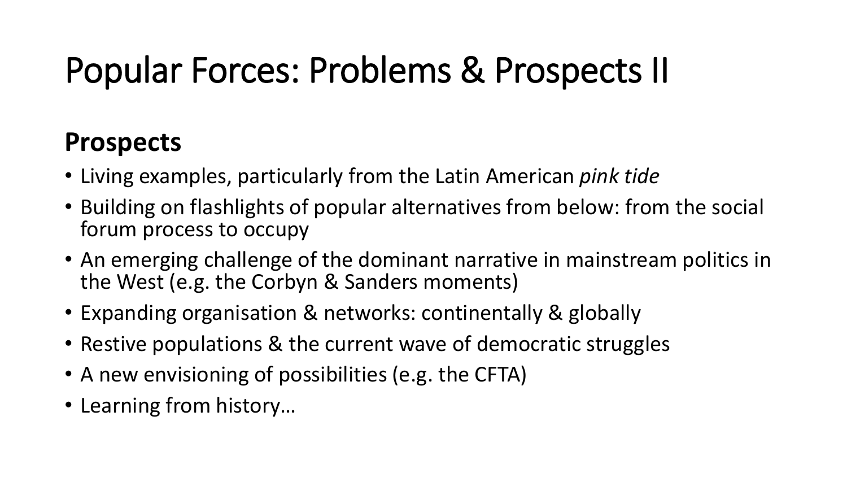# Popular Forces: Problems & Prospects II

### **Prospects**

- Living examples, particularly from the Latin American *pink tide*
- Building on flashlights of popular alternatives from below: from the social forum process to occupy
- An emerging challenge of the dominant narrative in mainstream politics in the West (e.g. the Corbyn & Sanders moments)
- Expanding organisation & networks: continentally & globally
- Restive populations & the current wave of democratic struggles
- A new envisioning of possibilities (e.g. the CFTA)
- Learning from history…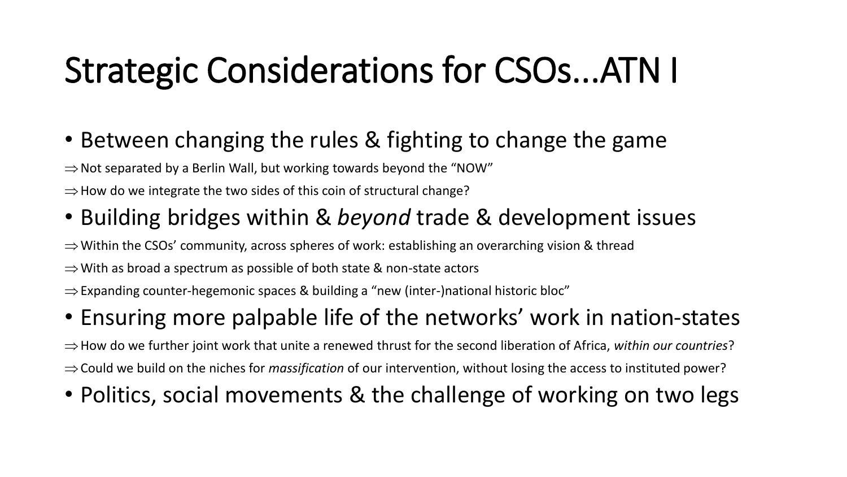### Strategic Considerations for CSOs...ATN I

- Between changing the rules & fighting to change the game
- $\Rightarrow$  Not separated by a Berlin Wall, but working towards beyond the "NOW"
- $\Rightarrow$  How do we integrate the two sides of this coin of structural change?
- Building bridges within & *beyond* trade & development issues
- $\Rightarrow$  Within the CSOs' community, across spheres of work: establishing an overarching vision & thread
- $\Rightarrow$  With as broad a spectrum as possible of both state & non-state actors
- $\Rightarrow$  Expanding counter-hegemonic spaces & building a "new (inter-)national historic bloc"
- Ensuring more palpable life of the networks' work in nation-states

 $\Rightarrow$  How do we further joint work that unite a renewed thrust for the second liberation of Africa, *within our countries*? Could we build on the niches for *massification* of our intervention, without losing the access to instituted power?

• Politics, social movements & the challenge of working on two legs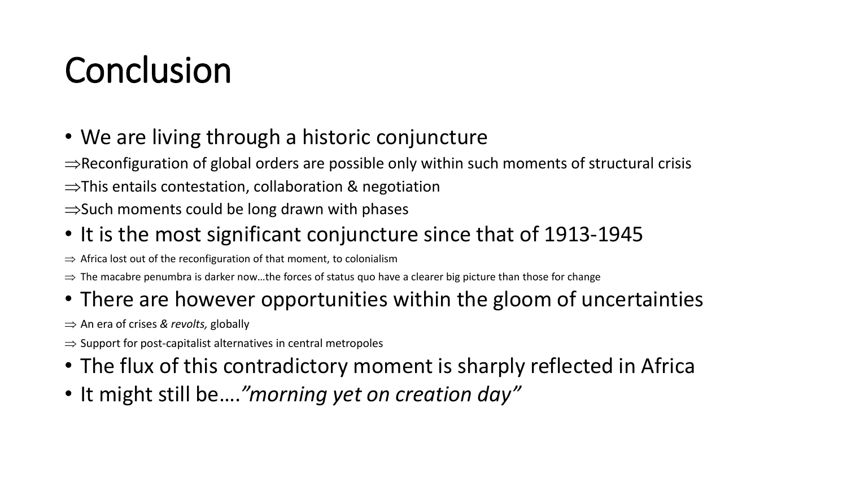## Conclusion

- We are living through a historic conjuncture
- $\Rightarrow$  Reconfiguration of global orders are possible only within such moments of structural crisis
- $\Rightarrow$ This entails contestation, collaboration & negotiation
- $\Rightarrow$  Such moments could be long drawn with phases
- It is the most significant conjuncture since that of 1913-1945
- $\Rightarrow$  Africa lost out of the reconfiguration of that moment, to colonialism
- $\Rightarrow$  The macabre penumbra is darker now...the forces of status quo have a clearer big picture than those for change

### • There are however opportunities within the gloom of uncertainties

An era of crises *& revolts,* globally

- $\Rightarrow$  Support for post-capitalist alternatives in central metropoles
- The flux of this contradictory moment is sharply reflected in Africa
- It might still be….*"morning yet on creation day"*